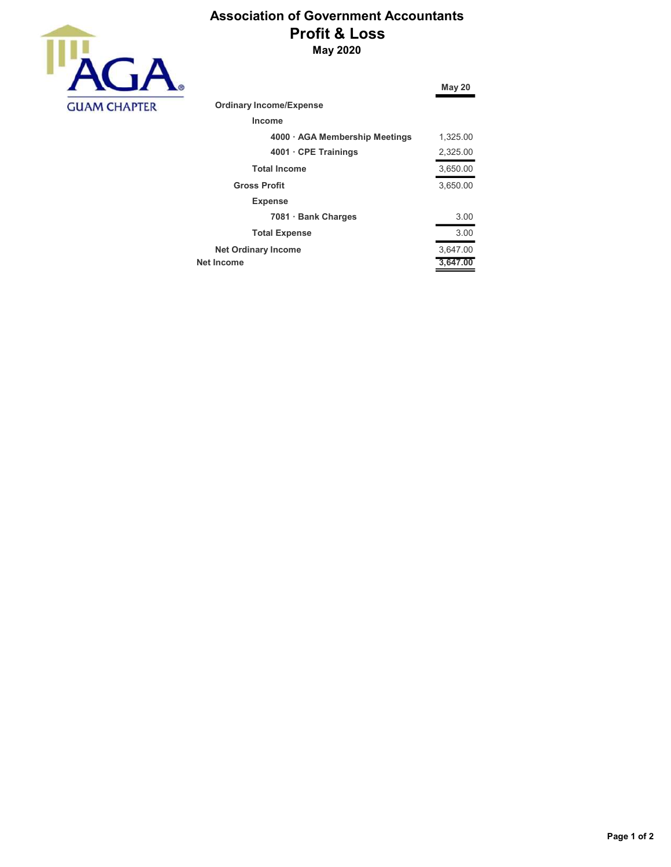

## Association of Government Accountants Profit & Loss May 2020

|                                | May 20   |
|--------------------------------|----------|
| <b>Ordinary Income/Expense</b> |          |
| Income                         |          |
| 4000 · AGA Membership Meetings | 1,325.00 |
| 4001 CPE Trainings             | 2,325.00 |
| <b>Total Income</b>            | 3,650.00 |
| <b>Gross Profit</b>            | 3,650.00 |
| <b>Expense</b>                 |          |
| 7081 Bank Charges              | 3.00     |
| <b>Total Expense</b>           | 3.00     |
| <b>Net Ordinary Income</b>     | 3,647.00 |
| Net Income                     | 3,647.00 |